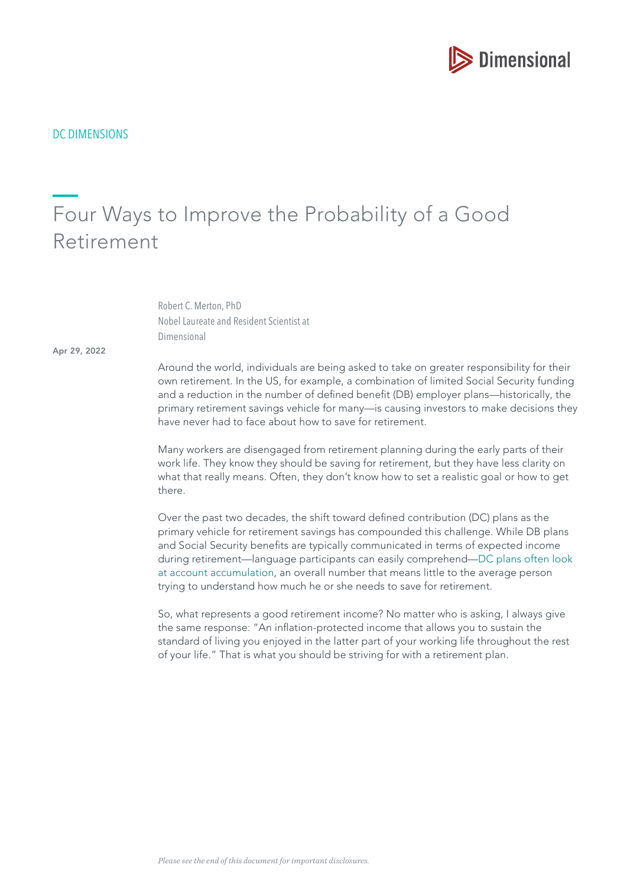

DC DIMENSIONS

# Four Ways to Improve the Probability of a Good Retirement

Robert C. Merton, PhD Nobel Laureate and Resident Scientist at Dimensional

Apr 29, 2022

Around the world, individuals are being asked to take on greater responsibility for their own retirement. In the US, for example, a combination of limited Social Security funding and a reduction in the number of defned beneft (DB) employer plans—historically, the primary retirement savings vehicle for many—is causing investors to make decisions they have never had to face about how to save for retirement.

Many workers are disengaged from retirement planning during the early parts of their work life. They know they should be saving for retirement, but they have less clarity on what that really means. Often, they don't know how to set a realistic goal or how to get there.

Over the past two decades, the shift toward defned contribution (DC) plans as the primary vehicle for retirement savings has compounded this challenge. While DB plans and Social Security benefits are typically communicated in terms of expected income during retirement—language participants can easily comprehend[—DC plans often look](https://hbr.org/2014/07/the-crisis-in-retirement-planning)  [at account accumulation,](https://hbr.org/2014/07/the-crisis-in-retirement-planning) an overall number that means little to the average person trying to understand how much he or she needs to save for retirement.

So, what represents a good retirement income? No matter who is asking, I always give the same response: "An infation-protected income that allows you to sustain the standard of living you enjoyed in the latter part of your working life throughout the rest of your life." That is what you should be striving for with a retirement plan.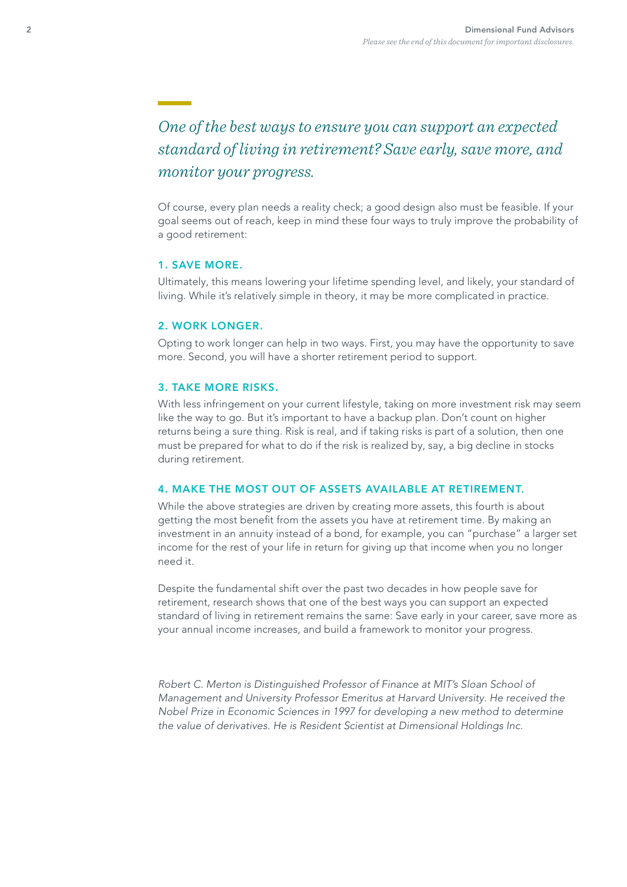*One of the best ways to ensure you can support an expected standard of living in retirement? Save early, save more, and monitor your progress.* 

Of course, every plan needs a reality check; a good design also must be feasible. If your goal seems out of reach, keep in mind these four ways to truly improve the probability of a good retirement:

## 1. SAVE MORE.

Ultimately, this means lowering your lifetime spending level, and likely, your standard of living. While it's relatively simple in theory, it may be more complicated in practice.

#### 2. WORK LONGER.

Opting to work longer can help in two ways. First, you may have the opportunity to save more. Second, you will have a shorter retirement period to support.

#### 3. TAKE MORE RISKS.

With less infringement on your current lifestyle, taking on more investment risk may seem like the way to go. But it's important to have a backup plan. Don't count on higher returns being a sure thing. Risk is real, and if taking risks is part of a solution, then one must be prepared for what to do if the risk is realized by, say, a big decline in stocks during retirement.

#### 4. MAKE THE MOST OUT OF ASSETS AVAILABLE AT RETIREMENT.

While the above strategies are driven by creating more assets, this fourth is about getting the most benefit from the assets you have at retirement time. By making an investment in an annuity instead of a bond, for example, you can "purchase" a larger set income for the rest of your life in return for giving up that income when you no longer need it.

Despite the fundamental shift over the past two decades in how people save for retirement, research shows that one of the best ways you can support an expected standard of living in retirement remains the same: Save early in your career, save more as your annual income increases, and build a framework to monitor your progress.

Robert C. Merton is Distinguished Professor of Finance at MIT's Sloan School of Management and University Professor Emeritus at Harvard University. He received the Nobel Prize in Economic Sciences in 1997 for developing a new method to determine the value of derivatives. He is Resident Scientist at Dimensional Holdings Inc.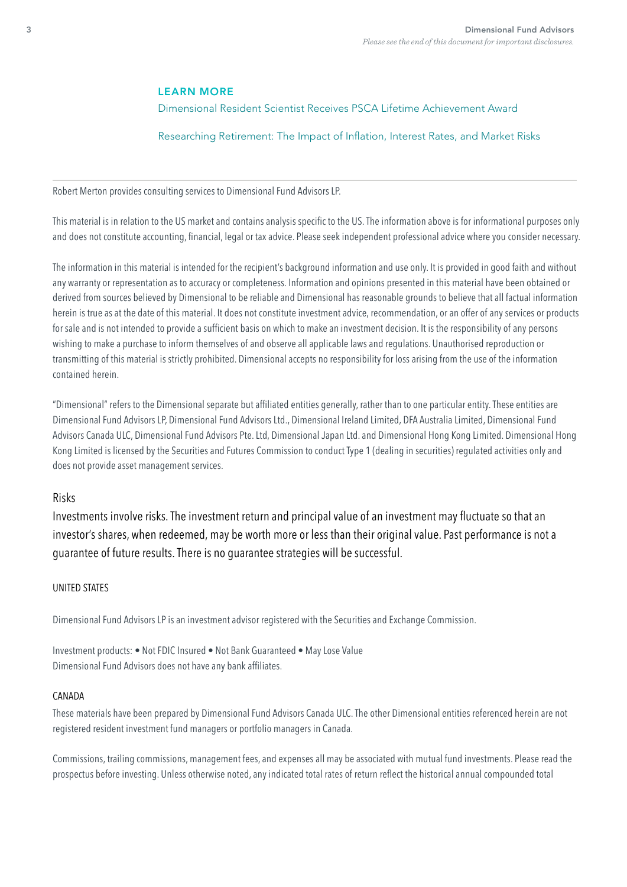#### LEARN MORE

[Dimensional Resident Scientist Receives PSCA Lifetime Achievement Award](https://my.dimensional.com/resident-scientist-robert-merton-receives-psca-lifetime-achievement-award)

[Researching Retirement: The Impact of Infation, Interest Rates, and Market Risks](https://my.dimensional.com/researching-retirement-the-impact-of-inflation-interest-rates-and-market-risks)

Robert Merton provides consulting services to Dimensional Fund Advisors LP.

This material is in relation to the US market and contains analysis specific to the US. The information above is for informational purposes only and does not constitute accounting, fnancial, legal or tax advice. Please seek independent professional advice where you consider necessary.

The information in this material is intended for the recipient's background information and use only. It is provided in good faith and without any warranty or representation as to accuracy or completeness. Information and opinions presented in this material have been obtained or derived from sources believed by Dimensional to be reliable and Dimensional has reasonable grounds to believe that all factual information herein is true as at the date of this material. It does not constitute investment advice, recommendation, or an offer of any services or products for sale and is not intended to provide a sufficient basis on which to make an investment decision. It is the responsibility of any persons wishing to make a purchase to inform themselves of and observe all applicable laws and regulations. Unauthorised reproduction or transmitting of this material is strictly prohibited. Dimensional accepts no responsibility for loss arising from the use of the information contained herein.

"Dimensional" refers to the Dimensional separate but affliated entities generally, rather than to one particular entity. These entities are Dimensional Fund Advisors LP, Dimensional Fund Advisors Ltd., Dimensional Ireland Limited, DFA Australia Limited, Dimensional Fund Advisors Canada ULC, Dimensional Fund Advisors Pte. Ltd, Dimensional Japan Ltd. and Dimensional Hong Kong Limited. Dimensional Hong Kong Limited is licensed by the Securities and Futures Commission to conduct Type 1 (dealing in securities) regulated activities only and does not provide asset management services.

## Risks

Investments involve risks. The investment return and principal value of an investment may fuctuate so that an investor's shares, when redeemed, may be worth more or less than their original value. Past performance is not a guarantee of future results. There is no guarantee strategies will be successful.

#### UNITED STATES

Dimensional Fund Advisors LP is an investment advisor registered with the Securities and Exchange Commission.

Investment products: • Not FDIC Insured • Not Bank Guaranteed • May Lose Value Dimensional Fund Advisors does not have any bank affliates.

#### CANADA

These materials have been prepared by Dimensional Fund Advisors Canada ULC. The other Dimensional entities referenced herein are not registered resident investment fund managers or portfolio managers in Canada.

Commissions, trailing commissions, management fees, and expenses all may be associated with mutual fund investments. Please read the prospectus before investing. Unless otherwise noted, any indicated total rates of return refect the historical annual compounded total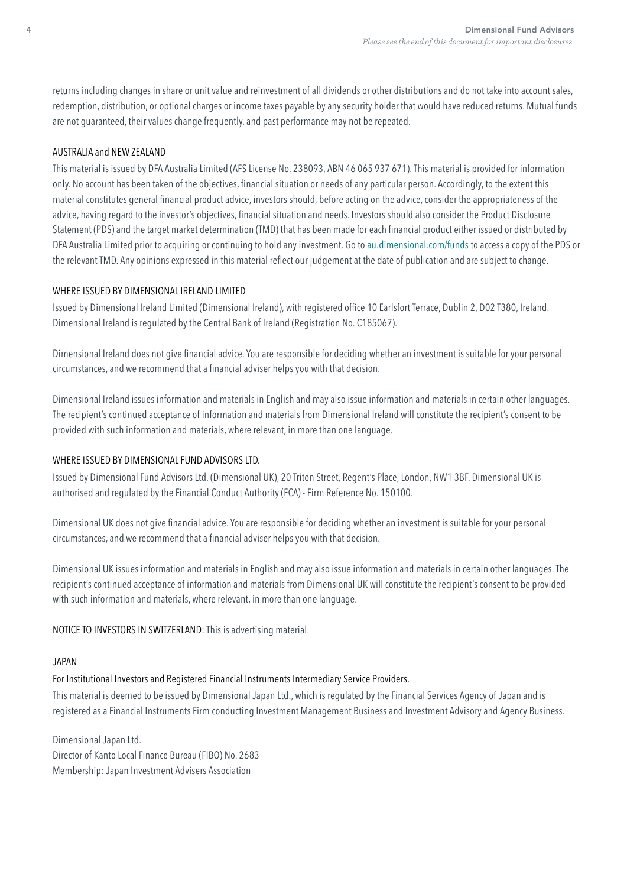returns including changes in share or unit value and reinvestment of all dividends or other distributions and do not take into account sales, redemption, distribution, or optional charges or income taxes payable by any security holder that would have reduced returns. Mutual funds are not guaranteed, their values change frequently, and past performance may not be repeated.

#### AUSTRALIA and NEW ZEALAND

This material is issued by DFA Australia Limited (AFS License No. 238093, ABN 46 065 937 671). This material is provided for information only. No account has been taken of the objectives, fnancial situation or needs of any particular person. Accordingly, to the extent this material constitutes general fnancial product advice, investors should, before acting on the advice, consider the appropriateness of the advice, having regard to the investor's objectives, fnancial situation and needs. Investors should also consider the Product Disclosure Statement (PDS) and the target market determination (TMD) that has been made for each fnancial product either issued or distributed by DFA Australia Limited prior to acquiring or continuing to hold any investment. Go to [au.dimensional.com/funds](https://au.dimensional.com/funds) to access a copy of the PDS or the relevant TMD. Any opinions expressed in this material refect our judgement at the date of publication and are subject to change.

#### WHERE ISSUED BY DIMENSIONAL IRELAND LIMITED

Issued by Dimensional Ireland Limited (Dimensional Ireland), with registered offce 10 Earlsfort Terrace, Dublin 2, D02 T380, Ireland. Dimensional Ireland is regulated by the Central Bank of Ireland (Registration No. C185067).

Dimensional Ireland does not give fnancial advice. You are responsible for deciding whether an investment is suitable for your personal circumstances, and we recommend that a fnancial adviser helps you with that decision.

Dimensional Ireland issues information and materials in English and may also issue information and materials in certain other languages. The recipient's continued acceptance of information and materials from Dimensional Ireland will constitute the recipient's consent to be provided with such information and materials, where relevant, in more than one language.

## WHERE ISSUED BY DIMENSIONAL FUND ADVISORS LTD.

Issued by Dimensional Fund Advisors Ltd. (Dimensional UK), 20 Triton Street, Regent's Place, London, NW1 3BF. Dimensional UK is authorised and regulated by the Financial Conduct Authority (FCA) - Firm Reference No. 150100.

Dimensional UK does not give fnancial advice. You are responsible for deciding whether an investment is suitable for your personal circumstances, and we recommend that a fnancial adviser helps you with that decision.

Dimensional UK issues information and materials in English and may also issue information and materials in certain other languages. The recipient's continued acceptance of information and materials from Dimensional UK will constitute the recipient's consent to be provided with such information and materials, where relevant, in more than one language.

NOTICE TO INVESTORS IN SWITZERLAND: This is advertising material.

#### JAPAN

## For Institutional Investors and Registered Financial Instruments Intermediary Service Providers.

This material is deemed to be issued by Dimensional Japan Ltd., which is regulated by the Financial Services Agency of Japan and is registered as a Financial Instruments Firm conducting Investment Management Business and Investment Advisory and Agency Business.

Dimensional Japan Ltd. Director of Kanto Local Finance Bureau (FIBO) No. 2683 Membership: Japan Investment Advisers Association